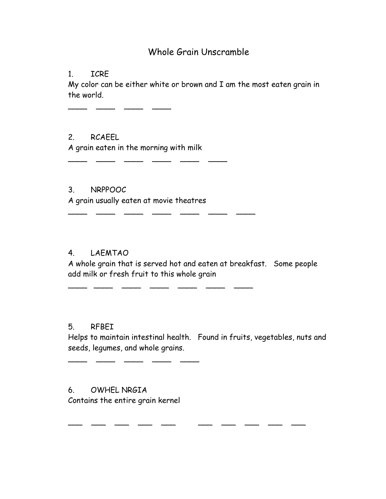# Whole Grain Unscramble

1. ICRE

My color can be either white or brown and I am the most eaten grain in the world.

2. RCAEEL A grain eaten in the morning with milk

 $\frac{1}{2}$  ,  $\frac{1}{2}$  ,  $\frac{1}{2}$  ,  $\frac{1}{2}$  ,  $\frac{1}{2}$  ,  $\frac{1}{2}$  ,  $\frac{1}{2}$ 

\_\_\_\_ \_\_\_\_ \_\_\_ \_\_\_ \_\_\_ \_\_\_ \_\_\_ \_\_\_

\_\_\_\_ \_\_\_\_ \_\_\_ \_\_\_ \_\_\_ \_\_\_ \_\_\_

\_\_\_\_ \_\_\_\_ \_\_\_\_ \_\_\_\_

3. NRPPOOC A grain usually eaten at movie theatres

# 4. LAEMTAO

A whole grain that is served hot and eaten at breakfast. Some people add milk or fresh fruit to this whole grain

# 5. RFBEI

Helps to maintain intestinal health. Found in fruits, vegetables, nuts and seeds, legumes, and whole grains.

\_\_\_ \_\_\_ \_\_\_ \_\_ \_\_ \_\_ \_\_ \_\_ \_\_ \_\_ \_\_

6. OWHEL NRGIA Contains the entire grain kernel

\_\_\_\_\_ \_\_\_\_ \_\_\_\_ \_\_\_\_ \_\_\_\_